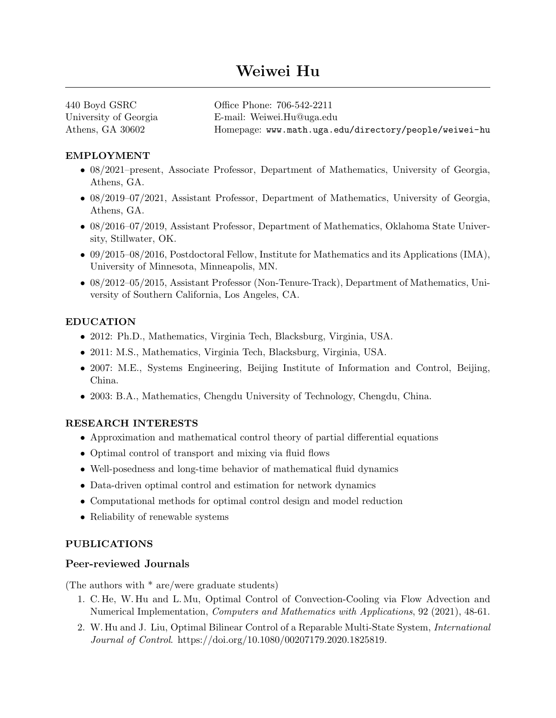# Weiwei Hu

| 440 Boyd GSRC         | Office Phone: 706-542-2211                            |
|-----------------------|-------------------------------------------------------|
| University of Georgia | E-mail: Weiwei.Hu@uga.edu                             |
| Athens, GA 30602      | Homepage: www.math.uga.edu/directory/people/weiwei-hu |

## EMPLOYMENT

- 08/2021–present, Associate Professor, Department of Mathematics, University of Georgia, Athens, GA.
- 08/2019–07/2021, Assistant Professor, Department of Mathematics, University of Georgia, Athens, GA.
- 08/2016–07/2019, Assistant Professor, Department of Mathematics, Oklahoma State University, Stillwater, OK.
- 09/2015–08/2016, Postdoctoral Fellow, Institute for Mathematics and its Applications (IMA), University of Minnesota, Minneapolis, MN.
- 08/2012–05/2015, Assistant Professor (Non-Tenure-Track), Department of Mathematics, University of Southern California, Los Angeles, CA.

## EDUCATION

- 2012: Ph.D., Mathematics, Virginia Tech, Blacksburg, Virginia, USA.
- 2011: M.S., Mathematics, Virginia Tech, Blacksburg, Virginia, USA.
- 2007: M.E., Systems Engineering, Beijing Institute of Information and Control, Beijing, China.
- 2003: B.A., Mathematics, Chengdu University of Technology, Chengdu, China.

## RESEARCH INTERESTS

- Approximation and mathematical control theory of partial differential equations
- Optimal control of transport and mixing via fluid flows
- Well-posedness and long-time behavior of mathematical fluid dynamics
- Data-driven optimal control and estimation for network dynamics
- Computational methods for optimal control design and model reduction
- Reliability of renewable systems

#### PUBLICATIONS

## Peer-reviewed Journals

(The authors with \* are/were graduate students)

- 1. C. He, W. Hu and L. Mu, Optimal Control of Convection-Cooling via Flow Advection and Numerical Implementation, *Computers and Mathematics with Applications*, 92 (2021), 48-61.
- 2. W. Hu and J. Liu, Optimal Bilinear Control of a Reparable Multi-State System, International Journal of Control. https://doi.org/10.1080/00207179.2020.1825819.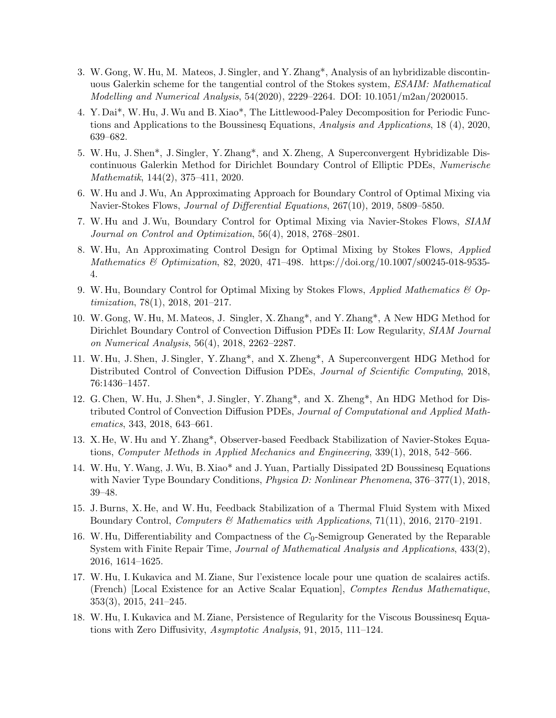- 3. W. Gong, W. Hu, M. Mateos, J. Singler, and Y. Zhang\*, Analysis of an hybridizable discontinuous Galerkin scheme for the tangential control of the Stokes system, ESAIM: Mathematical Modelling and Numerical Analysis, 54(2020), 2229–2264. DOI: 10.1051/m2an/2020015.
- 4. Y. Dai\*, W. Hu, J.Wu and B. Xiao\*, The Littlewood-Paley Decomposition for Periodic Functions and Applications to the Boussinesq Equations, Analysis and Applications, 18 (4), 2020, 639–682.
- 5. W. Hu, J. Shen\*, J. Singler, Y. Zhang\*, and X. Zheng, A Superconvergent Hybridizable Discontinuous Galerkin Method for Dirichlet Boundary Control of Elliptic PDEs, Numerische Mathematik, 144(2), 375–411, 2020.
- 6. W. Hu and J.Wu, An Approximating Approach for Boundary Control of Optimal Mixing via Navier-Stokes Flows, Journal of Differential Equations, 267(10), 2019, 5809–5850.
- 7. W. Hu and J.Wu, Boundary Control for Optimal Mixing via Navier-Stokes Flows, SIAM Journal on Control and Optimization, 56(4), 2018, 2768–2801.
- 8. W. Hu, An Approximating Control Design for Optimal Mixing by Stokes Flows, Applied Mathematics & Optimization, 82, 2020, 471-498. https://doi.org/10.1007/s00245-018-9535-4.
- 9. W. Hu, Boundary Control for Optimal Mixing by Stokes Flows, Applied Mathematics & Optimization, 78(1), 2018, 201–217.
- 10. W. Gong, W. Hu, M. Mateos, J. Singler, X. Zhang\*, and Y. Zhang\*, A New HDG Method for Dirichlet Boundary Control of Convection Diffusion PDEs II: Low Regularity, SIAM Journal on Numerical Analysis, 56(4), 2018, 2262–2287.
- 11. W. Hu, J. Shen, J. Singler, Y. Zhang\*, and X. Zheng\*, A Superconvergent HDG Method for Distributed Control of Convection Diffusion PDEs, Journal of Scientific Computing, 2018, 76:1436–1457.
- 12. G. Chen, W. Hu, J. Shen\*, J. Singler, Y. Zhang\*, and X. Zheng\*, An HDG Method for Distributed Control of Convection Diffusion PDEs, Journal of Computational and Applied Mathematics, 343, 2018, 643–661.
- 13. X. He, W. Hu and Y. Zhang\*, Observer-based Feedback Stabilization of Navier-Stokes Equations, Computer Methods in Applied Mechanics and Engineering, 339(1), 2018, 542–566.
- 14. W. Hu, Y.Wang, J.Wu, B. Xiao\* and J. Yuan, Partially Dissipated 2D Boussinesq Equations with Navier Type Boundary Conditions, *Physica D: Nonlinear Phenomena*, 376–377(1), 2018, 39–48.
- 15. J. Burns, X. He, and W. Hu, Feedback Stabilization of a Thermal Fluid System with Mixed Boundary Control, Computers & Mathematics with Applications, 71(11), 2016, 2170–2191.
- 16. W. Hu, Differentiability and Compactness of the  $C_0$ -Semigroup Generated by the Reparable System with Finite Repair Time, Journal of Mathematical Analysis and Applications, 433(2), 2016, 1614–1625.
- 17. W. Hu, I. Kukavica and M. Ziane, Sur l'existence locale pour une quation de scalaires actifs. (French) [Local Existence for an Active Scalar Equation], Comptes Rendus Mathematique, 353(3), 2015, 241–245.
- 18. W. Hu, I. Kukavica and M. Ziane, Persistence of Regularity for the Viscous Boussinesq Equations with Zero Diffusivity, Asymptotic Analysis, 91, 2015, 111–124.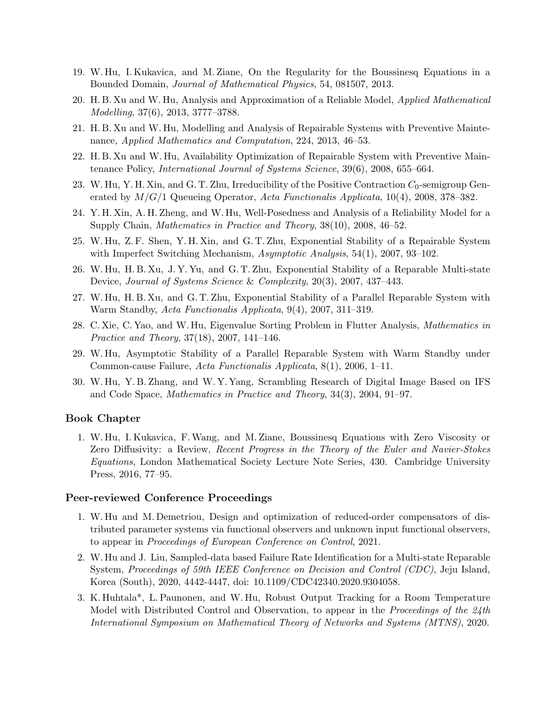- 19. W. Hu, I. Kukavica, and M. Ziane, On the Regularity for the Boussinesq Equations in a Bounded Domain, Journal of Mathematical Physics, 54, 081507, 2013.
- 20. H. B. Xu and W. Hu, Analysis and Approximation of a Reliable Model, Applied Mathematical Modelling, 37(6), 2013, 3777–3788.
- 21. H. B. Xu and W. Hu, Modelling and Analysis of Repairable Systems with Preventive Maintenance, Applied Mathematics and Computation, 224, 2013, 46–53.
- 22. H. B. Xu and W. Hu, Availability Optimization of Repairable System with Preventive Maintenance Policy, International Journal of Systems Science, 39(6), 2008, 655–664.
- 23. W. Hu, Y. H. Xin, and G. T. Zhu, Irreducibility of the Positive Contraction  $C_0$ -semigroup Generated by  $M/G/1$  Queueing Operator, Acta Functionalis Applicata, 10(4), 2008, 378–382.
- 24. Y. H. Xin, A. H. Zheng, and W. Hu, Well-Posedness and Analysis of a Reliability Model for a Supply Chain, Mathematics in Practice and Theory, 38(10), 2008, 46–52.
- 25. W. Hu, Z. F. Shen, Y. H. Xin, and G. T. Zhu, Exponential Stability of a Repairable System with Imperfect Switching Mechanism,  $Asymptotic$  Analysis, 54(1), 2007, 93–102.
- 26. W. Hu, H. B. Xu, J. Y. Yu, and G. T. Zhu, Exponential Stability of a Reparable Multi-state Device, Journal of Systems Science & Complexity, 20(3), 2007, 437–443.
- 27. W. Hu, H. B. Xu, and G. T. Zhu, Exponential Stability of a Parallel Reparable System with Warm Standby, Acta Functionalis Applicata, 9(4), 2007, 311–319.
- 28. C. Xie, C. Yao, and W. Hu, Eigenvalue Sorting Problem in Flutter Analysis, Mathematics in Practice and Theory, 37(18), 2007, 141–146.
- 29. W. Hu, Asymptotic Stability of a Parallel Reparable System with Warm Standby under Common-cause Failure, Acta Functionalis Applicata, 8(1), 2006, 1–11.
- 30. W. Hu, Y. B. Zhang, and W. Y. Yang, Scrambling Research of Digital Image Based on IFS and Code Space, Mathematics in Practice and Theory, 34(3), 2004, 91–97.

#### Book Chapter

1. W. Hu, I. Kukavica, F.Wang, and M. Ziane, Boussinesq Equations with Zero Viscosity or Zero Diffusivity: a Review, Recent Progress in the Theory of the Euler and Navier-Stokes Equations, London Mathematical Society Lecture Note Series, 430. Cambridge University Press, 2016, 77–95.

#### Peer-reviewed Conference Proceedings

- 1. W. Hu and M. Demetriou, Design and optimization of reduced-order compensators of distributed parameter systems via functional observers and unknown input functional observers, to appear in Proceedings of European Conference on Control, 2021.
- 2. W. Hu and J. Liu, Sampled-data based Failure Rate Identification for a Multi-state Reparable System, Proceedings of 59th IEEE Conference on Decision and Control (CDC), Jeju Island, Korea (South), 2020, 4442-4447, doi: 10.1109/CDC42340.2020.9304058.
- 3. K. Huhtala\*, L. Paunonen, and W. Hu, Robust Output Tracking for a Room Temperature Model with Distributed Control and Observation, to appear in the *Proceedings of the 24th* International Symposium on Mathematical Theory of Networks and Systems (MTNS), 2020.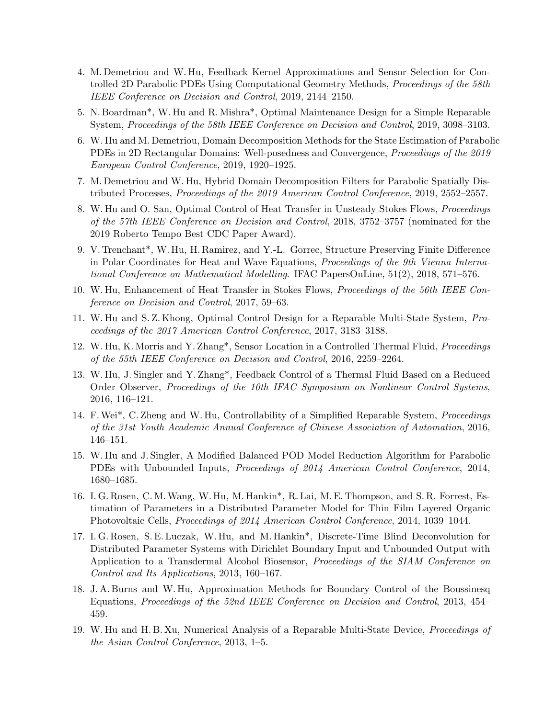- 4. M. Demetriou and W. Hu, Feedback Kernel Approximations and Sensor Selection for Controlled 2D Parabolic PDEs Using Computational Geometry Methods, Proceedings of the 58th IEEE Conference on Decision and Control, 2019, 2144–2150.
- 5. N. Boardman\*, W. Hu and R. Mishra\*, Optimal Maintenance Design for a Simple Reparable System, Proceedings of the 58th IEEE Conference on Decision and Control, 2019, 3098–3103.
- 6. W. Hu and M. Demetriou, Domain Decomposition Methods for the State Estimation of Parabolic PDEs in 2D Rectangular Domains: Well-posedness and Convergence, Proceedings of the 2019 European Control Conference, 2019, 1920–1925.
- 7. M. Demetriou and W. Hu, Hybrid Domain Decomposition Filters for Parabolic Spatially Distributed Processes, Proceedings of the 2019 American Control Conference, 2019, 2552–2557.
- 8. W. Hu and O. San, Optimal Control of Heat Transfer in Unsteady Stokes Flows, Proceedings of the 57th IEEE Conference on Decision and Control, 2018, 3752–3757 (nominated for the 2019 Roberto Tempo Best CDC Paper Award).
- 9. V. Trenchant\*, W. Hu, H. Ramirez, and Y.-L. Gorrec, Structure Preserving Finite Difference in Polar Coordinates for Heat and Wave Equations, Proceedings of the 9th Vienna International Conference on Mathematical Modelling. IFAC PapersOnLine, 51(2), 2018, 571–576.
- 10. W. Hu, Enhancement of Heat Transfer in Stokes Flows, Proceedings of the 56th IEEE Conference on Decision and Control, 2017, 59–63.
- 11. W. Hu and S. Z. Khong, Optimal Control Design for a Reparable Multi-State System, Proceedings of the 2017 American Control Conference, 2017, 3183–3188.
- 12. W. Hu, K. Morris and Y. Zhang\*, Sensor Location in a Controlled Thermal Fluid, Proceedings of the 55th IEEE Conference on Decision and Control, 2016, 2259–2264.
- 13. W. Hu, J. Singler and Y. Zhang\*, Feedback Control of a Thermal Fluid Based on a Reduced Order Observer, Proceedings of the 10th IFAC Symposium on Nonlinear Control Systems, 2016, 116–121.
- 14. F.Wei\*, C. Zheng and W. Hu, Controllability of a Simplified Reparable System, Proceedings of the 31st Youth Academic Annual Conference of Chinese Association of Automation, 2016, 146–151.
- 15. W. Hu and J. Singler, A Modified Balanced POD Model Reduction Algorithm for Parabolic PDEs with Unbounded Inputs, Proceedings of 2014 American Control Conference, 2014, 1680–1685.
- 16. I. G. Rosen, C. M.Wang, W. Hu, M. Hankin\*, R. Lai, M. E. Thompson, and S. R. Forrest, Estimation of Parameters in a Distributed Parameter Model for Thin Film Layered Organic Photovoltaic Cells, Proceedings of 2014 American Control Conference, 2014, 1039–1044.
- 17. I. G. Rosen, S. E. Luczak, W. Hu, and M. Hankin\*, Discrete-Time Blind Deconvolution for Distributed Parameter Systems with Dirichlet Boundary Input and Unbounded Output with Application to a Transdermal Alcohol Biosensor, Proceedings of the SIAM Conference on Control and Its Applications, 2013, 160–167.
- 18. J. A. Burns and W. Hu, Approximation Methods for Boundary Control of the Boussinesq Equations, Proceedings of the 52nd IEEE Conference on Decision and Control, 2013, 454– 459.
- 19. W. Hu and H. B. Xu, Numerical Analysis of a Reparable Multi-State Device, Proceedings of the Asian Control Conference, 2013, 1–5.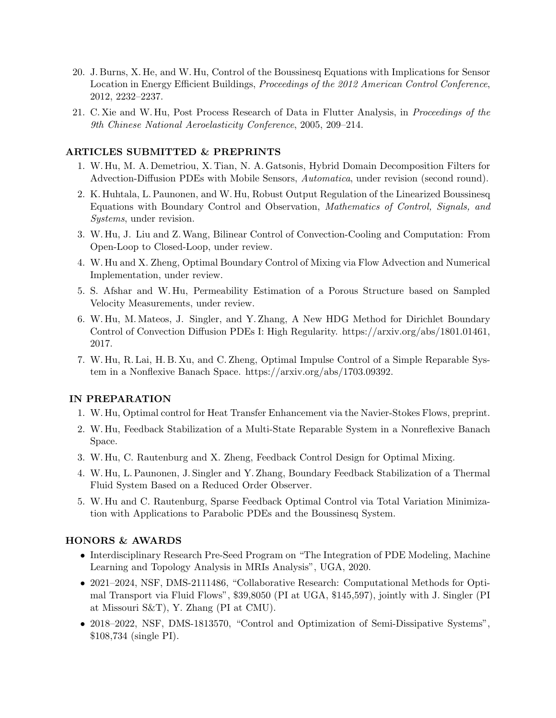- 20. J. Burns, X. He, and W. Hu, Control of the Boussinesq Equations with Implications for Sensor Location in Energy Efficient Buildings, Proceedings of the 2012 American Control Conference, 2012, 2232–2237.
- 21. C. Xie and W. Hu, Post Process Research of Data in Flutter Analysis, in Proceedings of the 9th Chinese National Aeroelasticity Conference, 2005, 209–214.

#### ARTICLES SUBMITTED & PREPRINTS

- 1. W. Hu, M. A. Demetriou, X. Tian, N. A. Gatsonis, Hybrid Domain Decomposition Filters for Advection-Diffusion PDEs with Mobile Sensors, Automatica, under revision (second round).
- 2. K. Huhtala, L. Paunonen, and W. Hu, Robust Output Regulation of the Linearized Boussinesq Equations with Boundary Control and Observation, Mathematics of Control, Signals, and Systems, under revision.
- 3. W. Hu, J. Liu and Z.Wang, Bilinear Control of Convection-Cooling and Computation: From Open-Loop to Closed-Loop, under review.
- 4. W. Hu and X. Zheng, Optimal Boundary Control of Mixing via Flow Advection and Numerical Implementation, under review.
- 5. S. Afshar and W. Hu, Permeability Estimation of a Porous Structure based on Sampled Velocity Measurements, under review.
- 6. W. Hu, M. Mateos, J. Singler, and Y. Zhang, A New HDG Method for Dirichlet Boundary Control of Convection Diffusion PDEs I: High Regularity. https://arxiv.org/abs/1801.01461, 2017.
- 7. W. Hu, R. Lai, H. B. Xu, and C. Zheng, Optimal Impulse Control of a Simple Reparable System in a Nonflexive Banach Space. https://arxiv.org/abs/1703.09392.

#### IN PREPARATION

- 1. W. Hu, Optimal control for Heat Transfer Enhancement via the Navier-Stokes Flows, preprint.
- 2. W. Hu, Feedback Stabilization of a Multi-State Reparable System in a Nonreflexive Banach Space.
- 3. W. Hu, C. Rautenburg and X. Zheng, Feedback Control Design for Optimal Mixing.
- 4. W. Hu, L. Paunonen, J. Singler and Y. Zhang, Boundary Feedback Stabilization of a Thermal Fluid System Based on a Reduced Order Observer.
- 5. W. Hu and C. Rautenburg, Sparse Feedback Optimal Control via Total Variation Minimization with Applications to Parabolic PDEs and the Boussinesq System.

#### HONORS & AWARDS

- Interdisciplinary Research Pre-Seed Program on "The Integration of PDE Modeling, Machine Learning and Topology Analysis in MRIs Analysis", UGA, 2020.
- 2021–2024, NSF, DMS-2111486, "Collaborative Research: Computational Methods for Optimal Transport via Fluid Flows", \$39,8050 (PI at UGA, \$145,597), jointly with J. Singler (PI at Missouri S&T), Y. Zhang (PI at CMU).
- 2018–2022, NSF, DMS-1813570, "Control and Optimization of Semi-Dissipative Systems", \$108,734 (single PI).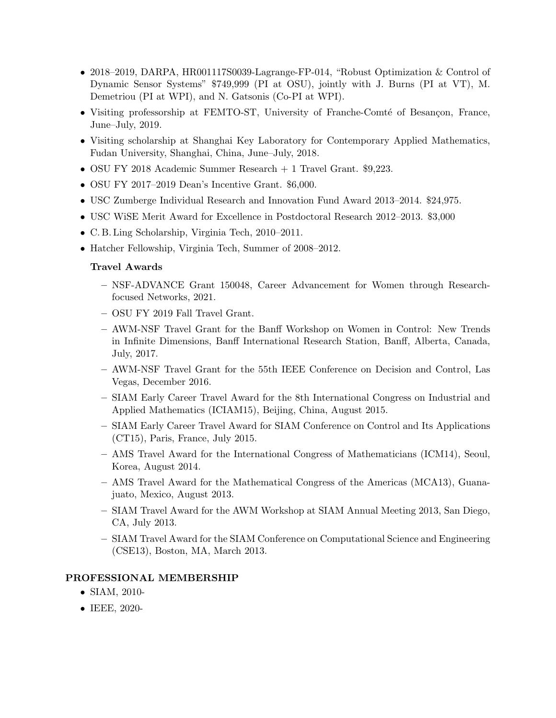- 2018–2019, DARPA, HR001117S0039-Lagrange-FP-014, "Robust Optimization & Control of Dynamic Sensor Systems" \$749,999 (PI at OSU), jointly with J. Burns (PI at VT), M. Demetriou (PI at WPI), and N. Gatsonis (Co-PI at WPI).
- Visiting professorship at FEMTO-ST, University of Franche-Comté of Besançon, France, June–July, 2019.
- Visiting scholarship at Shanghai Key Laboratory for Contemporary Applied Mathematics, Fudan University, Shanghai, China, June–July, 2018.
- OSU FY 2018 Academic Summer Research + 1 Travel Grant. \$9,223.
- OSU FY 2017–2019 Dean's Incentive Grant. \$6,000.
- USC Zumberge Individual Research and Innovation Fund Award 2013–2014. \$24,975.
- USC WiSE Merit Award for Excellence in Postdoctoral Research 2012–2013. \$3,000
- C. B. Ling Scholarship, Virginia Tech, 2010–2011.
- Hatcher Fellowship, Virginia Tech, Summer of 2008–2012.

#### Travel Awards

- NSF-ADVANCE Grant 150048, Career Advancement for Women through Researchfocused Networks, 2021.
- OSU FY 2019 Fall Travel Grant.
- AWM-NSF Travel Grant for the Banff Workshop on Women in Control: New Trends in Infinite Dimensions, Banff International Research Station, Banff, Alberta, Canada, July, 2017.
- AWM-NSF Travel Grant for the 55th IEEE Conference on Decision and Control, Las Vegas, December 2016.
- SIAM Early Career Travel Award for the 8th International Congress on Industrial and Applied Mathematics (ICIAM15), Beijing, China, August 2015.
- SIAM Early Career Travel Award for SIAM Conference on Control and Its Applications (CT15), Paris, France, July 2015.
- AMS Travel Award for the International Congress of Mathematicians (ICM14), Seoul, Korea, August 2014.
- AMS Travel Award for the Mathematical Congress of the Americas (MCA13), Guanajuato, Mexico, August 2013.
- SIAM Travel Award for the AWM Workshop at SIAM Annual Meeting 2013, San Diego, CA, July 2013.
- SIAM Travel Award for the SIAM Conference on Computational Science and Engineering (CSE13), Boston, MA, March 2013.

#### PROFESSIONAL MEMBERSHIP

- SIAM, 2010-
- IEEE, 2020-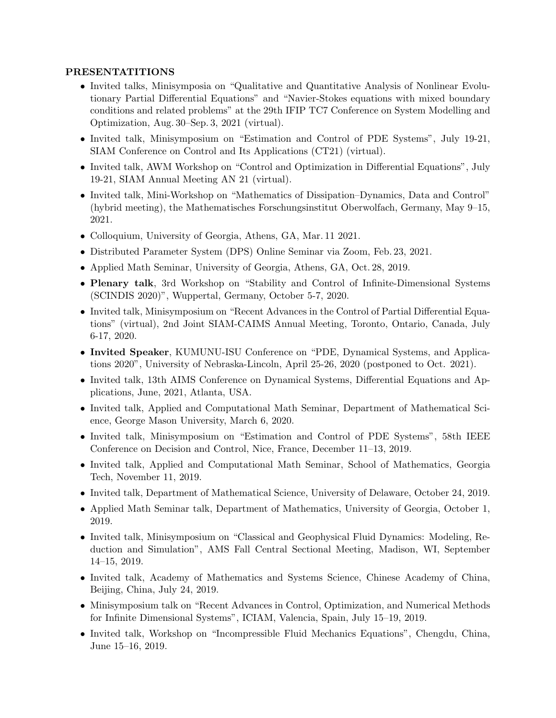## PRESENTATITIONS

- Invited talks, Minisymposia on "Qualitative and Quantitative Analysis of Nonlinear Evolutionary Partial Differential Equations" and "Navier-Stokes equations with mixed boundary conditions and related problems" at the 29th IFIP TC7 Conference on System Modelling and Optimization, Aug. 30–Sep. 3, 2021 (virtual).
- Invited talk, Minisymposium on "Estimation and Control of PDE Systems", July 19-21, SIAM Conference on Control and Its Applications (CT21) (virtual).
- Invited talk, AWM Workshop on "Control and Optimization in Differential Equations", July 19-21, SIAM Annual Meeting AN 21 (virtual).
- Invited talk, Mini-Workshop on "Mathematics of Dissipation–Dynamics, Data and Control" (hybrid meeting), the Mathematisches Forschungsinstitut Oberwolfach, Germany, May 9–15, 2021.
- Colloquium, University of Georgia, Athens, GA, Mar. 11 2021.
- Distributed Parameter System (DPS) Online Seminar via Zoom, Feb. 23, 2021.
- Applied Math Seminar, University of Georgia, Athens, GA, Oct. 28, 2019.
- Plenary talk, 3rd Workshop on "Stability and Control of Infinite-Dimensional Systems (SCINDIS 2020)", Wuppertal, Germany, October 5-7, 2020.
- Invited talk, Minisymposium on "Recent Advances in the Control of Partial Differential Equations" (virtual), 2nd Joint SIAM-CAIMS Annual Meeting, Toronto, Ontario, Canada, July 6-17, 2020.
- Invited Speaker, KUMUNU-ISU Conference on "PDE, Dynamical Systems, and Applications 2020", University of Nebraska-Lincoln, April 25-26, 2020 (postponed to Oct. 2021).
- Invited talk, 13th AIMS Conference on Dynamical Systems, Differential Equations and Applications, June, 2021, Atlanta, USA.
- Invited talk, Applied and Computational Math Seminar, Department of Mathematical Science, George Mason University, March 6, 2020.
- Invited talk, Minisymposium on "Estimation and Control of PDE Systems", 58th IEEE Conference on Decision and Control, Nice, France, December 11–13, 2019.
- Invited talk, Applied and Computational Math Seminar, School of Mathematics, Georgia Tech, November 11, 2019.
- Invited talk, Department of Mathematical Science, University of Delaware, October 24, 2019.
- Applied Math Seminar talk, Department of Mathematics, University of Georgia, October 1, 2019.
- Invited talk, Minisymposium on "Classical and Geophysical Fluid Dynamics: Modeling, Reduction and Simulation", AMS Fall Central Sectional Meeting, Madison, WI, September 14–15, 2019.
- Invited talk, Academy of Mathematics and Systems Science, Chinese Academy of China, Beijing, China, July 24, 2019.
- Minisymposium talk on "Recent Advances in Control, Optimization, and Numerical Methods for Infinite Dimensional Systems", ICIAM, Valencia, Spain, July 15–19, 2019.
- Invited talk, Workshop on "Incompressible Fluid Mechanics Equations", Chengdu, China, June 15–16, 2019.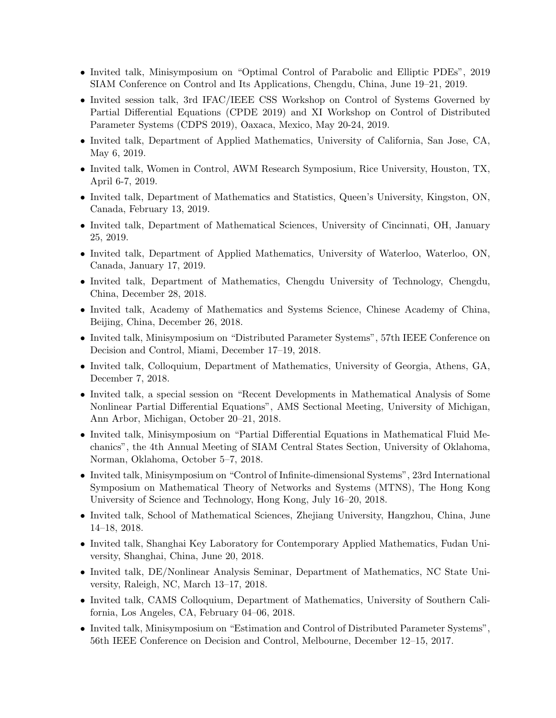- Invited talk, Minisymposium on "Optimal Control of Parabolic and Elliptic PDEs", 2019 SIAM Conference on Control and Its Applications, Chengdu, China, June 19–21, 2019.
- Invited session talk, 3rd IFAC/IEEE CSS Workshop on Control of Systems Governed by Partial Differential Equations (CPDE 2019) and XI Workshop on Control of Distributed Parameter Systems (CDPS 2019), Oaxaca, Mexico, May 20-24, 2019.
- Invited talk, Department of Applied Mathematics, University of California, San Jose, CA, May 6, 2019.
- Invited talk, Women in Control, AWM Research Symposium, Rice University, Houston, TX, April 6-7, 2019.
- Invited talk, Department of Mathematics and Statistics, Queen's University, Kingston, ON, Canada, February 13, 2019.
- Invited talk, Department of Mathematical Sciences, University of Cincinnati, OH, January 25, 2019.
- Invited talk, Department of Applied Mathematics, University of Waterloo, Waterloo, ON, Canada, January 17, 2019.
- Invited talk, Department of Mathematics, Chengdu University of Technology, Chengdu, China, December 28, 2018.
- Invited talk, Academy of Mathematics and Systems Science, Chinese Academy of China, Beijing, China, December 26, 2018.
- Invited talk, Minisymposium on "Distributed Parameter Systems", 57th IEEE Conference on Decision and Control, Miami, December 17–19, 2018.
- Invited talk, Colloquium, Department of Mathematics, University of Georgia, Athens, GA, December 7, 2018.
- Invited talk, a special session on "Recent Developments in Mathematical Analysis of Some Nonlinear Partial Differential Equations", AMS Sectional Meeting, University of Michigan, Ann Arbor, Michigan, October 20–21, 2018.
- Invited talk, Minisymposium on "Partial Differential Equations in Mathematical Fluid Mechanics", the 4th Annual Meeting of SIAM Central States Section, University of Oklahoma, Norman, Oklahoma, October 5–7, 2018.
- Invited talk, Minisymposium on "Control of Infinite-dimensional Systems", 23rd International Symposium on Mathematical Theory of Networks and Systems (MTNS), The Hong Kong University of Science and Technology, Hong Kong, July 16–20, 2018.
- Invited talk, School of Mathematical Sciences, Zhejiang University, Hangzhou, China, June 14–18, 2018.
- Invited talk, Shanghai Key Laboratory for Contemporary Applied Mathematics, Fudan University, Shanghai, China, June 20, 2018.
- Invited talk, DE/Nonlinear Analysis Seminar, Department of Mathematics, NC State University, Raleigh, NC, March 13–17, 2018.
- Invited talk, CAMS Colloquium, Department of Mathematics, University of Southern California, Los Angeles, CA, February 04–06, 2018.
- Invited talk, Minisymposium on "Estimation and Control of Distributed Parameter Systems", 56th IEEE Conference on Decision and Control, Melbourne, December 12–15, 2017.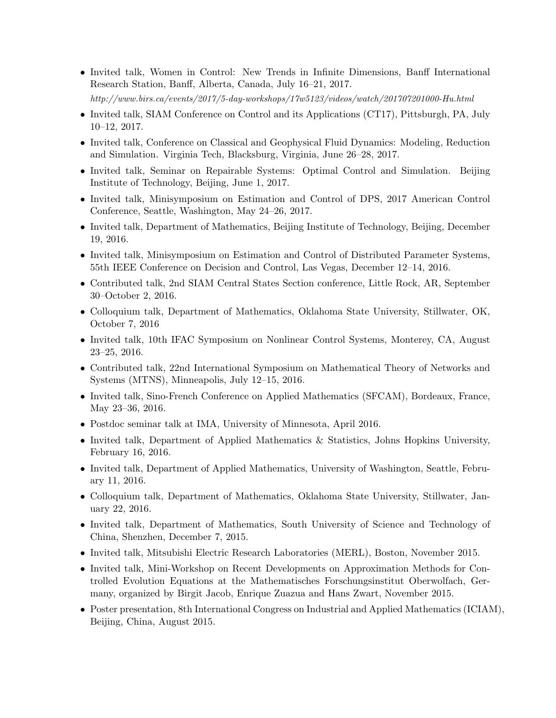- Invited talk, Women in Control: New Trends in Infinite Dimensions, Banff International Research Station, Banff, Alberta, Canada, July 16–21, 2017. http://www.birs.ca/events/2017/5-day-workshops/17w5123/videos/watch/201707201000-Hu.html
- Invited talk, SIAM Conference on Control and its Applications (CT17), Pittsburgh, PA, July 10–12, 2017.
- Invited talk, Conference on Classical and Geophysical Fluid Dynamics: Modeling, Reduction and Simulation. Virginia Tech, Blacksburg, Virginia, June 26–28, 2017.
- Invited talk, Seminar on Repairable Systems: Optimal Control and Simulation. Beijing Institute of Technology, Beijing, June 1, 2017.
- Invited talk, Minisymposium on Estimation and Control of DPS, 2017 American Control Conference, Seattle, Washington, May 24–26, 2017.
- Invited talk, Department of Mathematics, Beijing Institute of Technology, Beijing, December 19, 2016.
- Invited talk, Minisymposium on Estimation and Control of Distributed Parameter Systems, 55th IEEE Conference on Decision and Control, Las Vegas, December 12–14, 2016.
- Contributed talk, 2nd SIAM Central States Section conference, Little Rock, AR, September 30–October 2, 2016.
- Colloquium talk, Department of Mathematics, Oklahoma State University, Stillwater, OK, October 7, 2016
- Invited talk, 10th IFAC Symposium on Nonlinear Control Systems, Monterey, CA, August 23–25, 2016.
- Contributed talk, 22nd International Symposium on Mathematical Theory of Networks and Systems (MTNS), Minneapolis, July 12–15, 2016.
- Invited talk, Sino-French Conference on Applied Mathematics (SFCAM), Bordeaux, France, May 23–36, 2016.
- Postdoc seminar talk at IMA, University of Minnesota, April 2016.
- Invited talk, Department of Applied Mathematics & Statistics, Johns Hopkins University, February 16, 2016.
- Invited talk, Department of Applied Mathematics, University of Washington, Seattle, February 11, 2016.
- Colloquium talk, Department of Mathematics, Oklahoma State University, Stillwater, January 22, 2016.
- Invited talk, Department of Mathematics, South University of Science and Technology of China, Shenzhen, December 7, 2015.
- Invited talk, Mitsubishi Electric Research Laboratories (MERL), Boston, November 2015.
- Invited talk, Mini-Workshop on Recent Developments on Approximation Methods for Controlled Evolution Equations at the Mathematisches Forschungsinstitut Oberwolfach, Germany, organized by Birgit Jacob, Enrique Zuazua and Hans Zwart, November 2015.
- Poster presentation, 8th International Congress on Industrial and Applied Mathematics (ICIAM), Beijing, China, August 2015.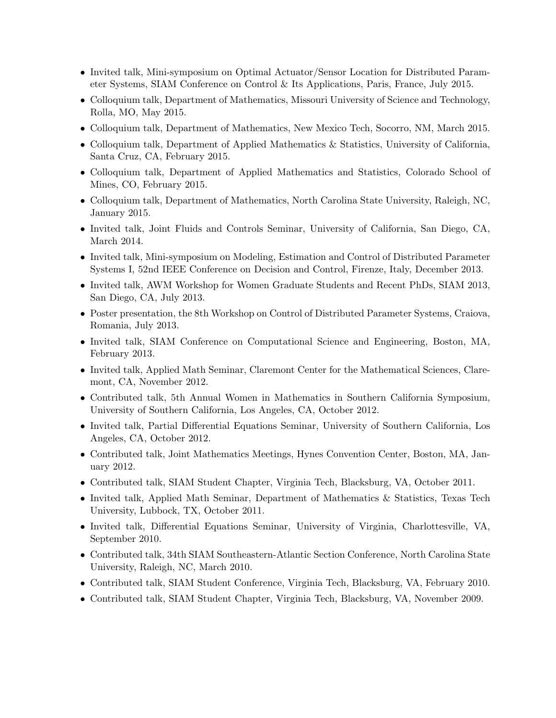- Invited talk, Mini-symposium on Optimal Actuator/Sensor Location for Distributed Parameter Systems, SIAM Conference on Control & Its Applications, Paris, France, July 2015.
- Colloquium talk, Department of Mathematics, Missouri University of Science and Technology, Rolla, MO, May 2015.
- Colloquium talk, Department of Mathematics, New Mexico Tech, Socorro, NM, March 2015.
- Colloquium talk, Department of Applied Mathematics & Statistics, University of California, Santa Cruz, CA, February 2015.
- Colloquium talk, Department of Applied Mathematics and Statistics, Colorado School of Mines, CO, February 2015.
- Colloquium talk, Department of Mathematics, North Carolina State University, Raleigh, NC, January 2015.
- Invited talk, Joint Fluids and Controls Seminar, University of California, San Diego, CA, March 2014.
- Invited talk, Mini-symposium on Modeling, Estimation and Control of Distributed Parameter Systems I, 52nd IEEE Conference on Decision and Control, Firenze, Italy, December 2013.
- Invited talk, AWM Workshop for Women Graduate Students and Recent PhDs, SIAM 2013, San Diego, CA, July 2013.
- Poster presentation, the 8th Workshop on Control of Distributed Parameter Systems, Craiova, Romania, July 2013.
- Invited talk, SIAM Conference on Computational Science and Engineering, Boston, MA, February 2013.
- Invited talk, Applied Math Seminar, Claremont Center for the Mathematical Sciences, Claremont, CA, November 2012.
- Contributed talk, 5th Annual Women in Mathematics in Southern California Symposium, University of Southern California, Los Angeles, CA, October 2012.
- Invited talk, Partial Differential Equations Seminar, University of Southern California, Los Angeles, CA, October 2012.
- Contributed talk, Joint Mathematics Meetings, Hynes Convention Center, Boston, MA, January 2012.
- Contributed talk, SIAM Student Chapter, Virginia Tech, Blacksburg, VA, October 2011.
- Invited talk, Applied Math Seminar, Department of Mathematics & Statistics, Texas Tech University, Lubbock, TX, October 2011.
- Invited talk, Differential Equations Seminar, University of Virginia, Charlottesville, VA, September 2010.
- Contributed talk, 34th SIAM Southeastern-Atlantic Section Conference, North Carolina State University, Raleigh, NC, March 2010.
- Contributed talk, SIAM Student Conference, Virginia Tech, Blacksburg, VA, February 2010.
- Contributed talk, SIAM Student Chapter, Virginia Tech, Blacksburg, VA, November 2009.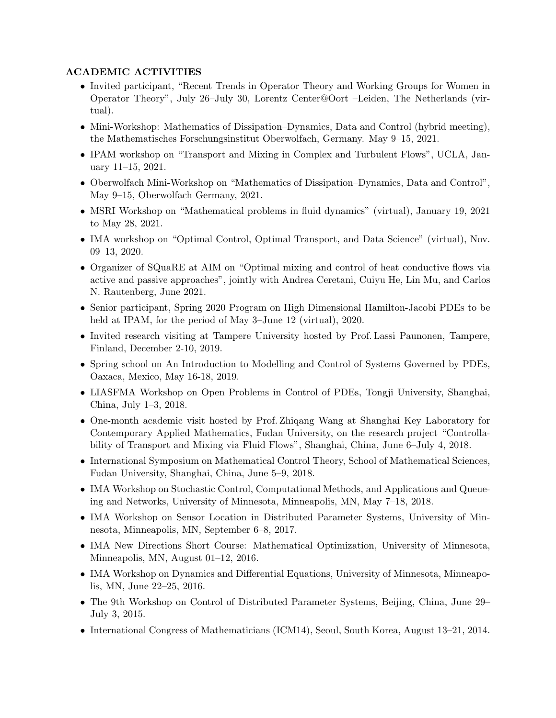# ACADEMIC ACTIVITIES

- Invited participant, "Recent Trends in Operator Theory and Working Groups for Women in Operator Theory", July 26–July 30, Lorentz Center@Oort –Leiden, The Netherlands (virtual).
- Mini-Workshop: Mathematics of Dissipation–Dynamics, Data and Control (hybrid meeting), the Mathematisches Forschungsinstitut Oberwolfach, Germany. May 9–15, 2021.
- IPAM workshop on "Transport and Mixing in Complex and Turbulent Flows", UCLA, January 11–15, 2021.
- Oberwolfach Mini-Workshop on "Mathematics of Dissipation–Dynamics, Data and Control", May 9–15, Oberwolfach Germany, 2021.
- MSRI Workshop on "Mathematical problems in fluid dynamics" (virtual), January 19, 2021 to May 28, 2021.
- IMA workshop on "Optimal Control, Optimal Transport, and Data Science" (virtual), Nov. 09–13, 2020.
- Organizer of SQuaRE at AIM on "Optimal mixing and control of heat conductive flows via active and passive approaches", jointly with Andrea Ceretani, Cuiyu He, Lin Mu, and Carlos N. Rautenberg, June 2021.
- Senior participant, Spring 2020 Program on High Dimensional Hamilton-Jacobi PDEs to be held at IPAM, for the period of May 3–June 12 (virtual), 2020.
- Invited research visiting at Tampere University hosted by Prof. Lassi Paunonen, Tampere, Finland, December 2-10, 2019.
- Spring school on An Introduction to Modelling and Control of Systems Governed by PDEs, Oaxaca, Mexico, May 16-18, 2019.
- LIASFMA Workshop on Open Problems in Control of PDEs, Tongji University, Shanghai, China, July 1–3, 2018.
- One-month academic visit hosted by Prof. Zhiqang Wang at Shanghai Key Laboratory for Contemporary Applied Mathematics, Fudan University, on the research project "Controllability of Transport and Mixing via Fluid Flows", Shanghai, China, June 6–July 4, 2018.
- International Symposium on Mathematical Control Theory, School of Mathematical Sciences, Fudan University, Shanghai, China, June 5–9, 2018.
- IMA Workshop on Stochastic Control, Computational Methods, and Applications and Queueing and Networks, University of Minnesota, Minneapolis, MN, May 7–18, 2018.
- IMA Workshop on Sensor Location in Distributed Parameter Systems, University of Minnesota, Minneapolis, MN, September 6–8, 2017.
- IMA New Directions Short Course: Mathematical Optimization, University of Minnesota, Minneapolis, MN, August 01–12, 2016.
- IMA Workshop on Dynamics and Differential Equations, University of Minnesota, Minneapolis, MN, June 22–25, 2016.
- The 9th Workshop on Control of Distributed Parameter Systems, Beijing, China, June 29– July 3, 2015.
- International Congress of Mathematicians (ICM14), Seoul, South Korea, August 13–21, 2014.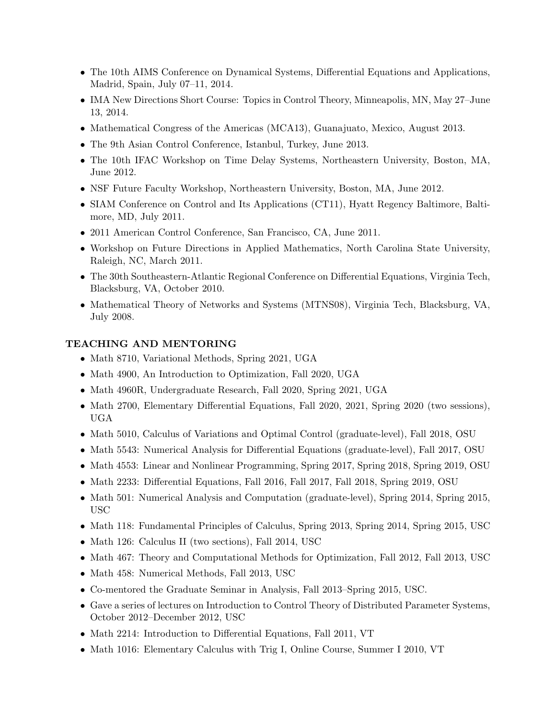- The 10th AIMS Conference on Dynamical Systems, Differential Equations and Applications, Madrid, Spain, July 07–11, 2014.
- IMA New Directions Short Course: Topics in Control Theory, Minneapolis, MN, May 27–June 13, 2014.
- Mathematical Congress of the Americas (MCA13), Guanajuato, Mexico, August 2013.
- The 9th Asian Control Conference, Istanbul, Turkey, June 2013.
- The 10th IFAC Workshop on Time Delay Systems, Northeastern University, Boston, MA, June 2012.
- NSF Future Faculty Workshop, Northeastern University, Boston, MA, June 2012.
- SIAM Conference on Control and Its Applications (CT11), Hyatt Regency Baltimore, Baltimore, MD, July 2011.
- 2011 American Control Conference, San Francisco, CA, June 2011.
- Workshop on Future Directions in Applied Mathematics, North Carolina State University, Raleigh, NC, March 2011.
- The 30th Southeastern-Atlantic Regional Conference on Differential Equations, Virginia Tech, Blacksburg, VA, October 2010.
- Mathematical Theory of Networks and Systems (MTNS08), Virginia Tech, Blacksburg, VA, July 2008.

#### TEACHING AND MENTORING

- Math 8710, Variational Methods, Spring 2021, UGA
- Math 4900, An Introduction to Optimization, Fall 2020, UGA
- Math 4960R, Undergraduate Research, Fall 2020, Spring 2021, UGA
- Math 2700, Elementary Differential Equations, Fall 2020, 2021, Spring 2020 (two sessions), UGA
- Math 5010, Calculus of Variations and Optimal Control (graduate-level), Fall 2018, OSU
- Math 5543: Numerical Analysis for Differential Equations (graduate-level), Fall 2017, OSU
- Math 4553: Linear and Nonlinear Programming, Spring 2017, Spring 2018, Spring 2019, OSU
- Math 2233: Differential Equations, Fall 2016, Fall 2017, Fall 2018, Spring 2019, OSU
- Math 501: Numerical Analysis and Computation (graduate-level), Spring 2014, Spring 2015, USC
- Math 118: Fundamental Principles of Calculus, Spring 2013, Spring 2014, Spring 2015, USC
- Math 126: Calculus II (two sections), Fall 2014, USC
- Math 467: Theory and Computational Methods for Optimization, Fall 2012, Fall 2013, USC
- Math 458: Numerical Methods, Fall 2013, USC
- Co-mentored the Graduate Seminar in Analysis, Fall 2013–Spring 2015, USC.
- Gave a series of lectures on Introduction to Control Theory of Distributed Parameter Systems, October 2012–December 2012, USC
- Math 2214: Introduction to Differential Equations, Fall 2011, VT
- Math 1016: Elementary Calculus with Trig I, Online Course, Summer I 2010, VT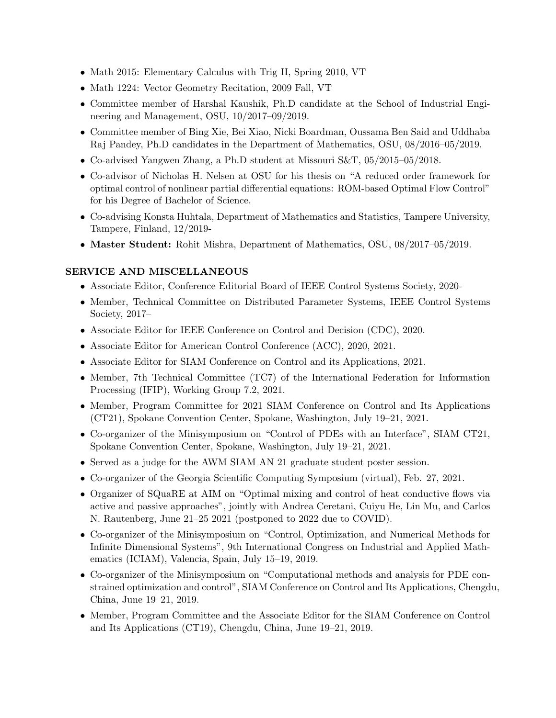- Math 2015: Elementary Calculus with Trig II, Spring 2010, VT
- Math 1224: Vector Geometry Recitation, 2009 Fall, VT
- Committee member of Harshal Kaushik, Ph.D candidate at the School of Industrial Engineering and Management, OSU, 10/2017–09/2019.
- Committee member of Bing Xie, Bei Xiao, Nicki Boardman, Oussama Ben Said and Uddhaba Raj Pandey, Ph.D candidates in the Department of Mathematics, OSU, 08/2016–05/2019.
- Co-advised Yangwen Zhang, a Ph.D student at Missouri S&T, 05/2015–05/2018.
- Co-advisor of Nicholas H. Nelsen at OSU for his thesis on "A reduced order framework for optimal control of nonlinear partial differential equations: ROM-based Optimal Flow Control" for his Degree of Bachelor of Science.
- Co-advising Konsta Huhtala, Department of Mathematics and Statistics, Tampere University, Tampere, Finland, 12/2019-
- Master Student: Rohit Mishra, Department of Mathematics, OSU, 08/2017–05/2019.

#### SERVICE AND MISCELLANEOUS

- Associate Editor, Conference Editorial Board of IEEE Control Systems Society, 2020-
- Member, Technical Committee on Distributed Parameter Systems, IEEE Control Systems Society, 2017–
- Associate Editor for IEEE Conference on Control and Decision (CDC), 2020.
- Associate Editor for American Control Conference (ACC), 2020, 2021.
- Associate Editor for SIAM Conference on Control and its Applications, 2021.
- Member, 7th Technical Committee (TC7) of the International Federation for Information Processing (IFIP), Working Group 7.2, 2021.
- Member, Program Committee for 2021 SIAM Conference on Control and Its Applications (CT21), Spokane Convention Center, Spokane, Washington, July 19–21, 2021.
- Co-organizer of the Minisymposium on "Control of PDEs with an Interface", SIAM CT21, Spokane Convention Center, Spokane, Washington, July 19–21, 2021.
- Served as a judge for the AWM SIAM AN 21 graduate student poster session.
- Co-organizer of the Georgia Scientific Computing Symposium (virtual), Feb. 27, 2021.
- Organizer of SQuaRE at AIM on "Optimal mixing and control of heat conductive flows via active and passive approaches", jointly with Andrea Ceretani, Cuiyu He, Lin Mu, and Carlos N. Rautenberg, June 21–25 2021 (postponed to 2022 due to COVID).
- Co-organizer of the Minisymposium on "Control, Optimization, and Numerical Methods for Infinite Dimensional Systems", 9th International Congress on Industrial and Applied Mathematics (ICIAM), Valencia, Spain, July 15–19, 2019.
- Co-organizer of the Minisymposium on "Computational methods and analysis for PDE constrained optimization and control", SIAM Conference on Control and Its Applications, Chengdu, China, June 19–21, 2019.
- Member, Program Committee and the Associate Editor for the SIAM Conference on Control and Its Applications (CT19), Chengdu, China, June 19–21, 2019.